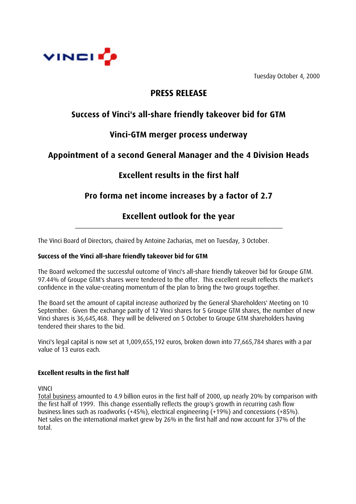

Tuesday October 4, 2000

## **PRESS RELEASE**

# **Success of Vinci's all-share friendly takeover bid for GTM**

## **Vinci-GTM merger process underway**

# **Appointment of a second General Manager and the 4 Division Heads**

# **Excellent results in the first half**

# **Pro forma net income increases by a factor of 2.7**

## **Excellent outlook for the year** \_\_\_\_\_\_\_\_\_\_\_\_\_\_\_\_\_\_\_\_\_\_\_\_\_\_\_\_\_\_\_\_\_\_\_\_\_\_\_\_\_\_\_\_\_\_\_\_\_\_\_\_\_\_\_\_\_\_\_\_\_\_\_

The Vinci Board of Directors, chaired by Antoine Zacharias, met on Tuesday, 3 October.

## **Success of the Vinci all-share friendly takeover bid for GTM**

The Board welcomed the successful outcome of Vinci's all-share friendly takeover bid for Groupe GTM. 97.44% of Groupe GTM's shares were tendered to the offer. This excellent result reflects the market's confidence in the value-creating momentum of the plan to bring the two groups together.

The Board set the amount of capital increase authorized by the General Shareholders' Meeting on 10 September. Given the exchange parity of 12 Vinci shares for 5 Groupe GTM shares, the number of new Vinci shares is 36,645,468. They will be delivered on 5 October to Groupe GTM shareholders having tendered their shares to the bid.

Vinci's legal capital is now set at 1,009,655,192 euros, broken down into 77,665,784 shares with a par value of 13 euros each.

## **Excellent results in the first half**

VINCI

Total business amounted to 4.9 billion euros in the first half of 2000, up nearly 20% by comparison with the first half of 1999. This change essentially reflects the group's growth in recurring cash flow business lines such as roadworks (+45%), electrical engineering (+19%) and concessions (+85%). Net sales on the international market grew by 26% in the first half and now account for 37% of the total.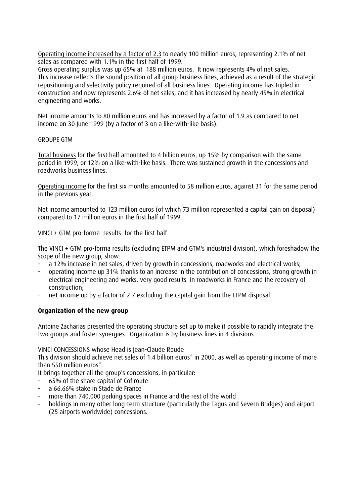Operating income increased by a factor of 2.3 to nearly 100 million euros, representing 2.1% of net sales as compared with 1.1% in the first half of 1999.

Gross operating surplus was up 65% at 188 million euros. It now represents 4% of net sales. This increase reflects the sound position of all group business lines, achieved as a result of the strategic repositioning and selectivity policy required of all business lines. Operating income has tripled in construction and now represents 2.6% of net sales, and it has increased by nearly 45% in electrical engineering and works.

Net income amounts to 80 million euros and has increased by a factor of 1.9 as compared to net income on 30 June 1999 (by a factor of 3 on a like-with-like basis).

#### GROUPE GTM

Total business for the first half amounted to 4 billion euros, up 15% by comparison with the same period in 1999, or 12% on a like-with-like basis. There was sustained growth in the concessions and roadworks business lines.

Operating income for the first six months amounted to 58 million euros, against 31 for the same period in the previous year.

Net income amounted to 123 million euros (of which 73 million represented a capital gain on disposal) compared to 17 million euros in the first half of 1999.

VINCI + GTM pro-forma results for the first half

The VINCI + GTM pro-forma results (excluding ETPM and GTM's industrial division), which foreshadow the scope of the new group, show:

- a 12% increase in net sales, driven by growth in concessions, roadworks and electrical works;
- operating income up 31% thanks to an increase in the contribution of concessions, strong growth in electrical engineering and works, very good results in roadworks in France and the recovery of construction;
- net income up by a factor of 2.7 excluding the capital gain from the ETPM disposal.

## **Organization of the new group**

Antoine Zacharias presented the operating structure set up to make it possible to rapidly integrate the two groups and foster synergies. Organization is by business lines in 4 divisions:

VINCI CONCESSIONS whose Head is Jean-Claude Roude

This division should achieve net sales of 1.4 billion euros<sup>\*</sup> in 2000, as well as operating income of more than 550 million euros<sup>\*</sup>.

It brings together all the group's concessions, in particular:

- 65% of the share capital of Cofiroute
- a 66.66% stake in Stade de France
- more than 740,000 parking spaces in France and the rest of the world
- holdings in many other long-term structure (particularly the Tagus and Severn Bridges) and airport (25 airports worldwide) concessions.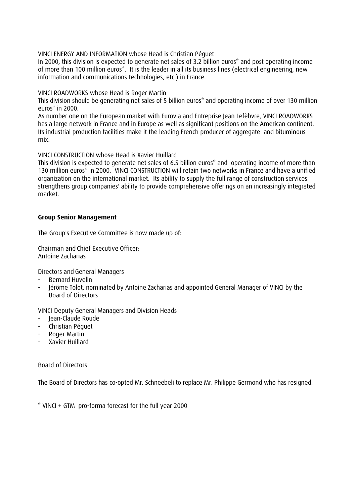VINCI ENERGY AND INFORMATION whose Head is Christian Péguet

In 2000, this division is expected to generate net sales of 3.2 billion euros\* and post operating income of more than 100 million euros\*. It is the leader in all its business lines (electrical engineering, new information and communications technologies, etc.) in France.

VINCI ROADWORKS whose Head is Roger Martin

This division should be generating net sales of 5 billion euros\* and operating income of over 130 million euros\* in 2000.

As number one on the European market with Eurovia and Entreprise Jean Lefèbvre, VINCI ROADWORKS has a large network in France and in Europe as well as significant positions on the American continent. Its industrial production facilities make it the leading French producer of aggregate and bituminous mix.

VINCI CONSTRUCTION whose Head is Xavier Huillard

This division is expected to generate net sales of 6.5 billion euros\* and operating income of more than 130 million euros<sup>\*</sup> in 2000. VINCI CONSTRUCTION will retain two networks in France and have a unified organization on the international market. Its ability to supply the full range of construction services strengthens group companies' ability to provide comprehensive offerings on an increasingly integrated market.

## **Group Senior Management**

The Group's Executive Committee is now made up of:

Chairman and Chief Executive Officer: Antoine Zacharias

Directors and General Managers

- Bernard Huvelin
- Jérôme Tolot, nominated by Antoine Zacharias and appointed General Manager of VINCI by the Board of Directors

VINCI Deputy General Managers and Division Heads

- Jean-Claude Roude
- Christian Péguet
- Roger Martin
- Xavier Huillard

Board of Directors

The Board of Directors has co-opted Mr. Schneebeli to replace Mr. Philippe Germond who has resigned.

\* VINCI + GTM pro-forma forecast for the full year 2000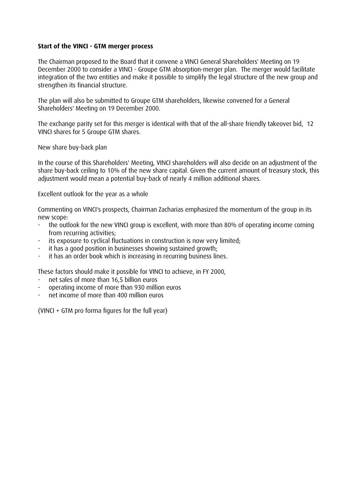## **Start of the VINCI - GTM merger process**

The Chairman proposed to the Board that it convene a VINCI General Shareholders' Meeting on 19 December 2000 to consider a VINCI - Groupe GTM absorption-merger plan. The merger would facilitate integration of the two entities and make it possible to simplify the legal structure of the new group and strengthen its financial structure.

The plan will also be submitted to Groupe GTM shareholders, likewise convened for a General Shareholders' Meeting on 19 December 2000.

The exchange parity set for this merger is identical with that of the all-share friendly takeover bid, 12 VINCI shares for 5 Groupe GTM shares.

New share buy-back plan

In the course of this Shareholders' Meeting, VINCI shareholders will also decide on an adjustment of the share buy-back ceiling to 10% of the new share capital. Given the current amount of treasury stock, this adjustment would mean a potential buy-back of nearly 4 million additional shares.

Excellent outlook for the year as a whole

Commenting on VINCI's prospects, Chairman Zacharias emphasized the momentum of the group in its new scope:

- the outlook for the new VINCI group is excellent, with more than 80% of operating income coming from recurring activities;
- its exposure to cyclical fluctuations in construction is now very limited:
- it has a good position in businesses showing sustained growth:
- it has an order book which is increasing in recurring business lines.

These factors should make it possible for VINCI to achieve, in FY 2000,

- net sales of more than 16,5 billion euros
- operating income of more than 930 million euros
- net income of more than 400 million euros

(VINCI + GTM pro forma figures for the full year)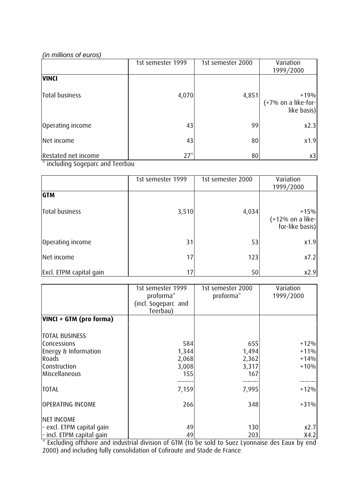## *(in millions of euros)*

|                     | 1st semester 1999 | 1st semester 2000 | Variation<br>1999/2000                         |
|---------------------|-------------------|-------------------|------------------------------------------------|
| <b>VINCI</b>        |                   |                   |                                                |
| Total business      | 4,070             | 4,851             | $+19%$<br>$(+7%$ on a like-for-<br>like basis) |
| Operating income    | 43                | 99                | x2.3                                           |
| Net income          | 43                | 80                | x1.9                                           |
| Restated net income | $27^*$            | 80                | x3                                             |

\* including Sogeparc and Teerbau

|                         | 1st semester 1999 | 1st semester 2000 | Variation<br>1999/2000                          |
|-------------------------|-------------------|-------------------|-------------------------------------------------|
| <b>GTM</b>              |                   |                   |                                                 |
| Total business          | 3,510             | 4,034             | $+15%$<br>$(+12%$ on a like-<br>for-like basis) |
| Operating income        | 31                | 53                | x1.9                                            |
| Net income              | 17                | 123               | x7.2                                            |
| Excl. ETPM capital gain | 17                | 50                | x2.9                                            |

|                           | 1st semester 1999<br>proforma*<br>(incl. Sogeparc and | 1st semester 2000<br>proforma* | Variation<br>1999/2000 |
|---------------------------|-------------------------------------------------------|--------------------------------|------------------------|
|                           | Teerbau)                                              |                                |                        |
| VINCI + GTM (pro forma)   |                                                       |                                |                        |
|                           |                                                       |                                |                        |
| <b>TOTAL BUSINESS</b>     |                                                       |                                |                        |
| Concessions               | 584                                                   | 655                            | $+12%$                 |
| Energy & Information      | 1,344                                                 | 1,494                          | $+11\%$                |
| Roads                     | 2,068                                                 | 2,362                          | $+14%$                 |
| Construction              | 3,008                                                 | 3,317                          | $+10%$                 |
| Miscellaneous             | 155!                                                  | 167                            |                        |
|                           |                                                       |                                |                        |
| <b>TOTAL</b>              | 7,159                                                 | 7,995                          | $+12%$                 |
| OPERATING INCOME          | 266                                                   | 348                            | $+31%$                 |
| NET INCOME                |                                                       |                                |                        |
| - excl. ETPM capital gain | 49                                                    | 130                            | x2.7                   |
| - incl. ETPM capital gain | 49                                                    | 203                            | X4.2                   |

\* Excluding offshore and industrial division of GTM (to be sold to Suez Lyonnaise des Eaux by end 2000) and including fully consolidation of Cofiroute and Stade de France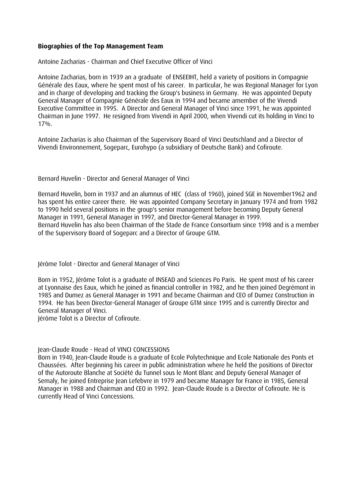## **Biographies of the Top Management Team**

Antoine Zacharias - Chairman and Chief Executive Officer of Vinci

Antoine Zacharias, born in 1939 an a graduate of ENSEEIHT, held a variety of positions in Compagnie Générale des Eaux, where he spent most of his career. In particular, he was Regional Manager for Lyon and in charge of developing and tracking the Group's business in Germany. He was appointed Deputy General Manager of Compagnie Générale des Eaux in 1994 and became amember of the Vivendi Executive Committee in 1995. A Director and General Manager of Vinci since 1991, he was appointed Chairman in June 1997. He resigned from Vivendi in April 2000, when Vivendi cut its holding in Vinci to 17%.

Antoine Zacharias is also Chairman of the Supervisory Board of Vinci Deutschland and a Director of Vivendi Environnement, Sogeparc, Eurohypo (a subsidiary of Deutsche Bank) and Cofiroute.

Bernard Huvelin - Director and General Manager of Vinci

Bernard Huvelin, born in 1937 and an alumnus of HEC (class of 1960), joined SGE in November1962 and has spent his entire career there. He was appointed Company Secretary in January 1974 and from 1982 to 1990 held several positions in the group's senior management before becoming Deputy General Manager in 1991, General Manager in 1997, and Director-General Manager in 1999. Bernard Huvelin has also been Chairman of the Stade de France Consortium since 1998 and is a member of the Supervisory Board of Sogeparc and a Director of Groupe GTM.

Jérôme Tolot - Director and General Manager of Vinci

Born in 1952, Jérôme Tolot is a graduate of INSEAD and Sciences Po Paris. He spent most of his career at Lyonnaise des Eaux, which he joined as financial controller in 1982, and he then joined Degrémont in 1985 and Dumez as General Manager in 1991 and became Chairman and CEO of Dumez Construction in 1994. He has been Director-General Manager of Groupe GTM since 1995 and is currently Director and General Manager of Vinci.

Jérôme Tolot is a Director of Cofiroute.

## Jean-Claude Roude - Head of VINCI CONCESSIONS

Born in 1940, Jean-Claude Roude is a graduate of Ecole Polytechnique and Ecole Nationale des Ponts et Chaussées. After beginning his career in public administration where he held the positions of Director of the Autoroute Blanche at Société du Tunnel sous le Mont Blanc and Deputy General Manager of Semaly, he joined Entreprise Jean Lefebvre in 1979 and became Manager for France in 1985, General Manager in 1988 and Chairman and CEO in 1992. Jean-Claude Roude is a Director of Cofiroute. He is currently Head of Vinci Concessions.